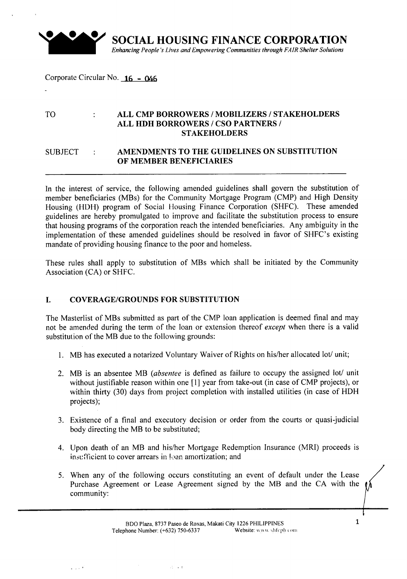

SOCIAL HOUSING FINANCE CORPORATION *Enhancing People's Lives and Empowering Communities through FAIR Shelter Solutions*

# Corporate Circular No.  $16 - 046$

# TO **ALL CMP BORROWERS / MOBILIZERS / STAKEHOLDERS** ALL HDH BORROWERS *I* CSO PARTNERS *I* STAKEHOLDERS

## SUBJECT : AMENDMENTS TO THE GUIDELINES ON SUBSTITUTION OF MEMBER BENEFICIARIES

In the interest of service, the following amended guidelines shall govern the substitution of member beneficiaries (MBs) for the Community Mortgage Program (CMP) and High Density Housing (HDH) program of Social Housing Finance Corporation (SHFC). These amended guidelines are hereby promulgated to improve and facilitate the substitution process to ensure that housing programs of the corporation reach the intended beneficiaries. Any ambiguity in the implementation of these amended guidelines should be resolved in favor of SHFC's existing mandate of providing housing finance to the poor and homeless.

These rules shall apply to substitution of MBs which shall be initiated by the Community Association (CA) or SHFC.

### I. COVERAGE/GROUNDS FOR SUBSTITUTION

The Masterlist of MBs submitted as part of the CMP loan application is deemed final and may not be amended during the term of the loan or extension thereof *except* when there is a valid substitution of the MB due to the following grounds:

- 1. MB has executed a notarized Voluntary Waiver of Rights on his/her allocated lot/ unit;
- 2. MB is an absentee MB *(absentee* is defined as failure to occupy the assigned lot/ unit without justifiable reason within one [1] year from take-out (in case of CMP projects), or within thirty (30) days from project completion with installed utilities (in case of HDH projects);
- 3. Existence of a final and executory decision or order from the courts or quasi-judicial body directing the MB to be substituted;
- 4. Upon death of an MB and *his/her* Mortgage Redemption Insurance (MRI) proceeds is insufficient to cover arrears in loan amortization; and
- 5. When any of the following occurs constituting an event of default under the Lease Purchase Agreement or Lease Agreement signed by the MB and the CA with the community:

. ,

--------- - -\_.\_

 $2.111$ 

1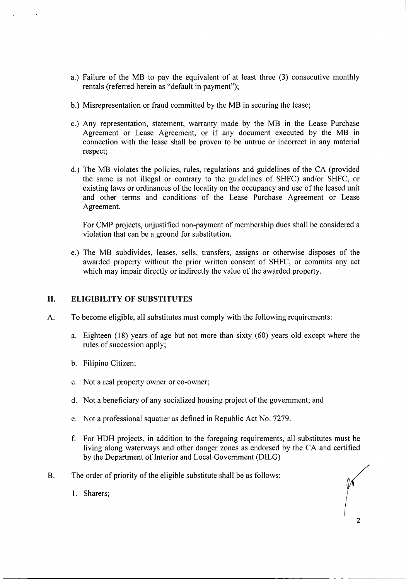- a.) Failure of the MB to pay the equivalent of at least three (3) consecutive monthly rentals (referred herein as "default in payment");
- b.) Misrepresentation or fraud committed by the MB in securing the lease;
- c.) Any representation, statement, warranty made by the MB in the Lease Purchase Agreement or Lease Agreement, or if any document executed by the MB in connection with the lease shall be proven to be untrue or incorrect in any material respect;
- d.) The MB violates the policies, rules, regulations and guidelines of the CA (provided the same is not illegal or contrary to the guidelines of SHFC) and/or SHFC, or existing laws or ordinances of the locality on the occupancy and use of the leased unit and other terms and conditions of the Lease Purchase Agreement or Lease Agreement.

For CMP projects, unjustified non-payment of membership dues shall be considered a violation that can be a ground for substitution.

e.) The MB subdivides, leases, sells, transfers, assigns or otherwise disposes of the awarded property without the prior written consent of SHFC, or commits any act which may impair directly or indirectly the value of the awarded property.

### **II. ELIGIBILITY OF SUBSTITUTES**

- A. To become eligible, all substitutes must comply with the following requirements:
	- a. Eighteen (18) years of age but not more than sixty (60) years old except where the rules of succession apply;
	- b. Filipino Citizen;
	- c. Not a real property owner or co-owner;
	- d. Not a beneficiary of any socialized housing project of the government; and
	- e. Not a professional squatter as defined in Republic Act No. 7279.
	- f. For HDH projects, in addition to the foregoing requirements, all substitutes must be living along waterways and other danger zones as endorsed by the CA and certified by the Department of Interior and Local Government (DILG)
- B. The order of priority of the eligible substitute shall be as follows:
	- 1. Sharers;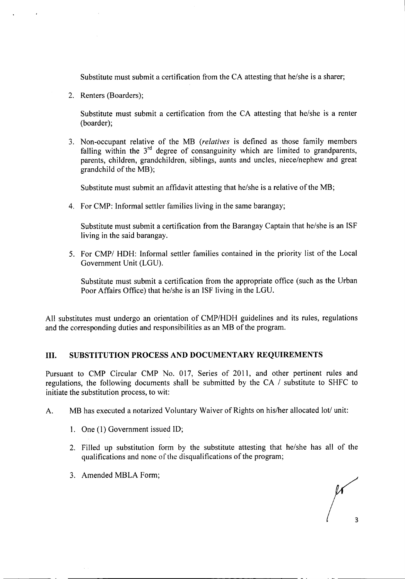Substitute must submit a certification from the CA attesting that he/she is a sharer;

2. Renters (Boarders);

Substitute must submit a certification from the CA attesting that he/she is a renter (boarder);

3. Non-occupant relative of the MB *(relatives* is defined as those family members falling within the  $3<sup>rd</sup>$  degree of consanguinity which are limited to grandparents, parents, children, grandchildren, siblings, aunts and uncles, niece/nephew and great grandchild of the MB);

Substitute must submit an affidavit attesting that he/she is a relative of the MB;

4. For CMP: Informal settler families living in the same barangay;

Substitute must submit a certification from the Barangay Captain that he/she is an ISF living in the said barangay.

5. For CMP/ HDH: Informal settler families contained in the priority list of the Local Government Unit (LGU).

Substitute must submit a certification from the appropriate office (such as the Urban Poor Affairs Office) that he/she is an ISF living in the LGU.

All substitutes must undergo an orientation of CMP/HDH guidelines and its rules, regulations and the corresponding duties and responsibilities as an MB of the program.

### III. SUBSTITUTION PROCESS AND DOCUMENTARY REQUIREMENTS

Pursuant to CMP Circular CMP No. 017, Series of 2011, and other pertinent rules and regulations, the following documents shall be submitted by the CA / substitute to SHFC to initiate the substitution process, to wit:

- A. MB has executed a notarized Voluntary Waiver of Rights on his/her allocated lot/ unit:
	- 1. One (1) Government issued ID;
	- 2. Filled up substitution form by the substitute attesting that he/she has all of the qualifications and none of the disqualifications of the program;
	- 3. Amended MBLA Form;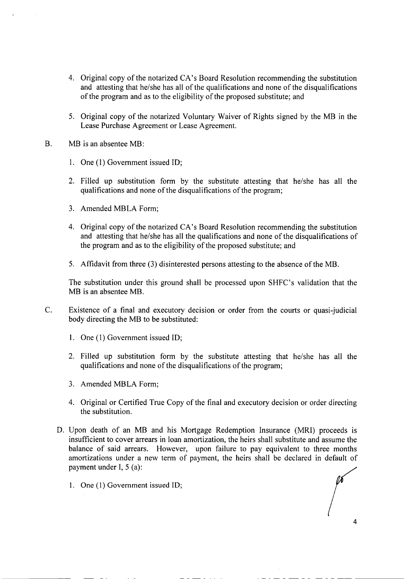- 4. Original copy of the notarized CA's Board Resolution recommending the substitution and attesting that he/she has all of the qualifications and none of the disqualifications of the program and as to the eligibility of the proposed substitute; and
- 5. Original copy of the notarized Voluntary Waiver of Rights signed by the MB in the Lease Purchase Agreement or Lease Agreement.
- B. MB is an absentee MB:
	- 1. One (l) Government issued ID;
	- 2. Filled up substitution form by the substitute attesting that he/she has all the qualifications and none of the disqualifications of the program;
	- 3. Amended MBLA Form;
	- 4. Original copy of the notarized CA's Board Resolution recommending the substitution and attesting that he/she has all the qualifications and none of the disqualifications of the program and as to the eligibility of the proposed substitute; and
	- 5. Affidavit from three (3) disinterested persons attesting to the absence of the MB.

The substitution under this ground shall be processed upon SHFC's validation that the MB is an absentee MB.

- C. Existence of a final and executory decision or order from the courts or quasi-judicial body directing the MB to be substituted:
	- 1. One (l) Government issued ID;
	- 2. Filled up substitution form by the substitute attesting that he/she has all the qualifications and none of the disqualifications of the program;
	- 3. Amended MBLA Form;
	- 4. Original or Certified True Copy of the final and executory decision or order directing the substitution.
	- D. Upon death of an MB and his Mortgage Redemption Insurance (MRI) proceeds is insufficient to cover arrears in loan amortization, the heirs shall substitute and assume the balance of said arrears. However, upon failure to pay equivalent to three months amortizations under a new term of payment, the heirs shall be declared in default of payment under I, 5 (a):
		- 1. One (1) Government issued ID;

. \_ . \_ \_ \_ \_ \_ \_ \_ \_ \_ \_ \_ \_ \_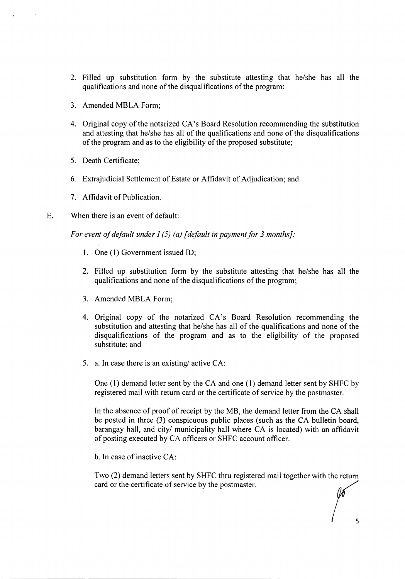- 2. Filled up substitution form by the substitute attesting that he/she has all the qualifications and none of the disqualifications of the program;
- 3. Amended MBLA Form;
- 4. Original copy of the notarized CA's Board Resolution recommending the substitution and attesting that he/she has all of the qualifications and none of the disqualifications of the program and as to the eligibility of the proposed substitute;
- 5. Death Certificate;
- 6. Extrajudicial Settlement of Estate or Affidavit of Adjudication; and
- 7. Affidavit of Publication.
- E. When there is an event of default:

*For event of default under J* (5) *(a) [default in payment for* 3 *months}:*

- 1. One (1) Government issued ID;
- 2. Filled up substitution form by the substitute attesting that he/she has all the qualifications and none of the disqualifications of the program;
- 3. Amended MBLA Form;
- 4. Original copy of the notarized CA's Board Resolution recommending the substitution and attesting that he/she has all of the qualifications and none of the disqualifications of the program and as to the eligibility of the proposed substitute; and
- 5. a. In case there is an existing/ active CA:

One (1) demand letter sent by the CA and one (1) demand letter sent by SHFC by registered mail with return card or the certificate of service by the postmaster.

In the absence of proof of receipt by the MB, the demand letter from the CA shall be posted in three (3) conspicuous public places (such as the CA bulletin board, barangay hall, and city/ municipality hall where CA is located) with an affidavit of posting executed by CA officers or SHFC account officer.

b. In case of inactive CA:

Two (2) demand letters sent by SHFC thru registered mail together with the return card or the certificate of service by the postmaster.

5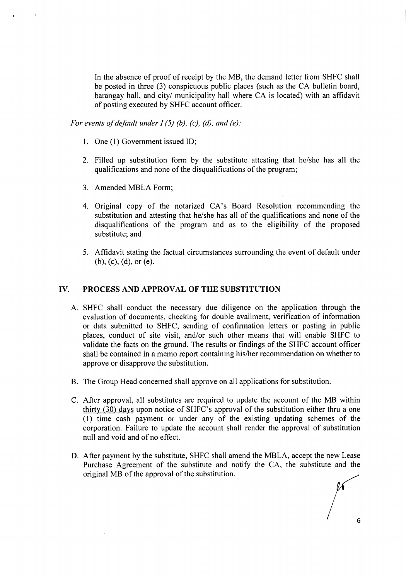In the absence of proof of receipt by the MB, the demand letter from SHFC shall be posted in three (3) conspicuous public places (such as the CA bulletin board, barangay hall, and city/ municipality hall where CA is located) with an affidavit of posting executed by SHFC account officer.

*For events of default under I* (5) *(b), (c), (d), and (e):*

- 1. One (1) Government issued ID;
- 2. Filled up substitution form by the substitute attesting that he/she has all the qualifications and none of the disqualifications of the program;
- 3. Amended MBLA Form;
- 4. Original copy of the notarized CA's Board Resolution recommending the substitution and attesting that he/she has all of the qualifications and none of the disqualifications of the program and as to the eligibility of the proposed substitute; and
- 5. Affidavit stating the factual circumstances surrounding the event of default under (b), (c), (d), or (e).

#### **IV. PROCESS AND APPROVAL OF THE SUBSTITUTION**

- A. SHFC shall conduct the necessary due diligence on the application through the evaluation of documents, checking for double availment, verification of information or data submitted to SHFC, sending of confirmation letters or posting in public places, conduct of site visit, and/or such other means that will enable SHFC to validate the facts on the ground. The results or findings of the SHFC account officer shall be contained in a memo report containing his/her recommendation on whether to approve or disapprove the substitution.
- B. The Group Head concerned shall approve on all applications for substitution.
- C. After approval, all substitutes are required to update the account of the MB within thirty (30) days upon notice of SHFC's approval of the substitution either thru a one ( 1) time cash payment or under any of the existing updating schemes of the corporation. Failure to update the account shall render the approval of substitution null and void and of no effect.
- D. After payment by the substitute, SHFC shall amend the MBLA, accept the new Lease Purchase Agreement of the substitute and notify the CA, the substitute and the original MB of the approval of the substitution.

6